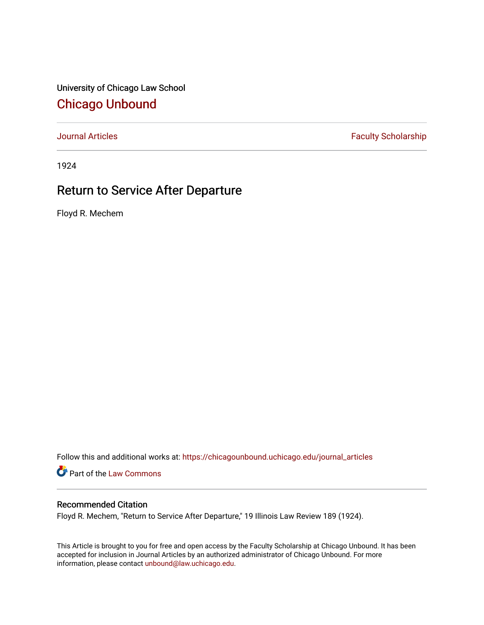University of Chicago Law School [Chicago Unbound](https://chicagounbound.uchicago.edu/)

[Journal Articles](https://chicagounbound.uchicago.edu/journal_articles) **Faculty Scholarship Faculty Scholarship** 

1924

# Return to Service After Departure

Floyd R. Mechem

Follow this and additional works at: [https://chicagounbound.uchicago.edu/journal\\_articles](https://chicagounbound.uchicago.edu/journal_articles?utm_source=chicagounbound.uchicago.edu%2Fjournal_articles%2F9357&utm_medium=PDF&utm_campaign=PDFCoverPages) 

Part of the [Law Commons](http://network.bepress.com/hgg/discipline/578?utm_source=chicagounbound.uchicago.edu%2Fjournal_articles%2F9357&utm_medium=PDF&utm_campaign=PDFCoverPages)

## Recommended Citation

Floyd R. Mechem, "Return to Service After Departure," 19 Illinois Law Review 189 (1924).

This Article is brought to you for free and open access by the Faculty Scholarship at Chicago Unbound. It has been accepted for inclusion in Journal Articles by an authorized administrator of Chicago Unbound. For more information, please contact [unbound@law.uchicago.edu](mailto:unbound@law.uchicago.edu).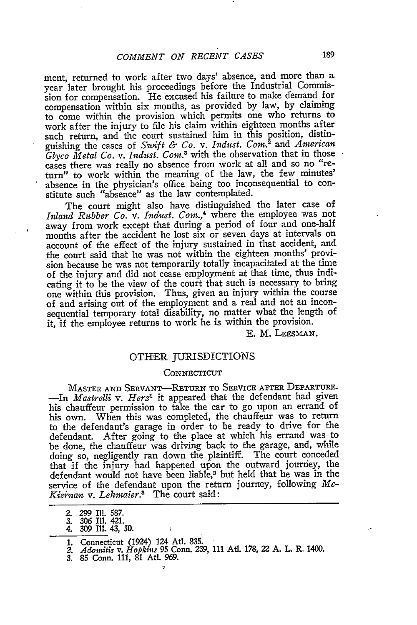ment, returned to work after two days' absence, and more than a year later brought his proceedings before the Industrial Commission for compensation. He excused his failure to make demand for compensation within six months, as provided by law, by claiming to come within the provision which permits one who returns to work after the injury to file his claim within eighteen months after such return, and the court sustained him in this position, distinguishing the cases of *Swift & Co. v. Indust. Corn.2* and *American* Glyco Metal Co. v. Indust. Com.<sup>3</sup> with the observation that in those cases there was really no absence from work at all and so no "return" to work within the meaning of the law, the few minutes' absence in the physician's office being too inconsequential to constitute such "absence" as the law contemplated.

The court might also have distinguished the later case of *Inland Rubber Co. v. Indust. CoM.,4* where the employee was not away from work except that during a period of four and one-half months after the accident he lost six or seven days at intervals on account of the effect of the injury sustained in that accident, and the court said that he was not within the eighteen months' provision because he was not temporarily totally incapacitated at the time of the injury and did not cease employment at that time, thus indicating it to be the view of the court that such is necessary to bring one within this provision. Thus, given an injury within the course of and arising out of the employment and a real and not an inconsequential temporary total disability, no matter what the length of it, if the employee returns to work he is within the provision.

E. M. LEESMAN.

### OTHER JURISDICTIONS

#### **CONNECTICUT**

MASTER **AND** SERVANT-RETURN TO SERVICE AFTER DEPARTURE. -In *Matrelli v. Herz'* it appeared that the defendant had given his chauffeur permission to take the car to go upon an errand of his own. When this was completed, the chauffeur was to return to the defendant's garage in order to be ready to drive for the defendant. After going to the place at which his errand was to be done, the chauffeur was driving back to the garage, and, while doing so, negligently ran down the plaintiff. The court conceded that if the injury had happened upon the outward journey, the defendant would not have been liable,<sup>2</sup> but held that he was in the service of the defendant upon the return jourrfey, following *Mc-*Kiernan v. Lehmaier.<sup>3</sup> The court said:

- 
- **2. 299** Ill. 587. 3. 306 **I1.** 421. 4. 309 **II.** 43, **50.**
- 
- 
- **1.** Connecticut (1924) 124 Atl. 835. *2. Adointis v. Hopkins* **95** Conn. **239,** 111 AUt. 178, 22 **A.** L. R. 1400. *3.* 85 Conn. 111, 81 Atl. 969.
-